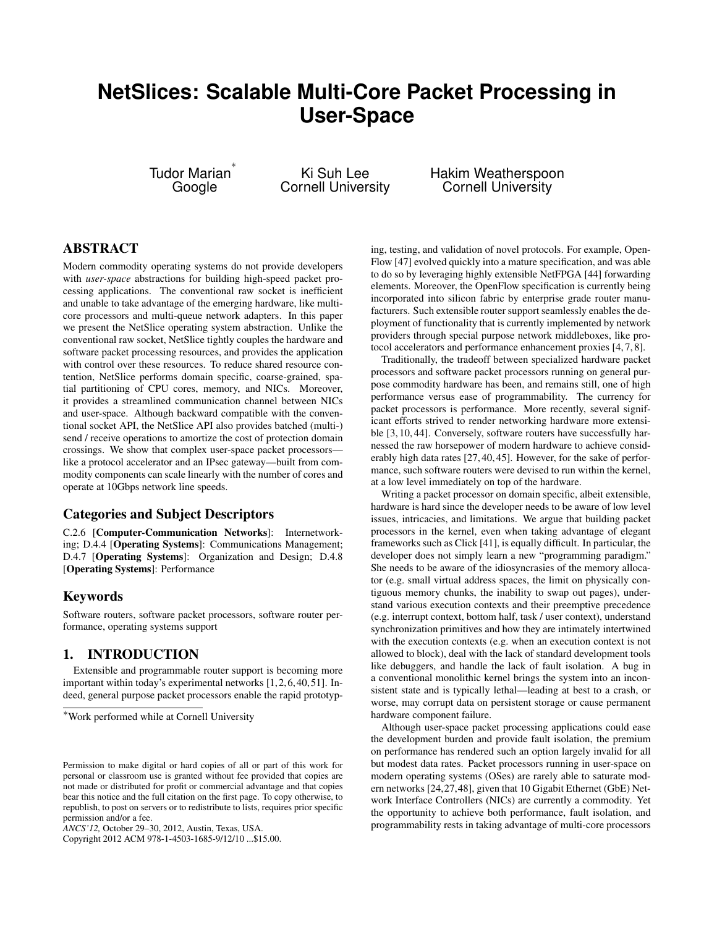# **NetSlices: Scalable Multi-Core Packet Processing in User-Space**

Tudor Marian ∗ Google

Ki Suh Lee Cornell University Hakim Weatherspoon Cornell University

# ABSTRACT

Modern commodity operating systems do not provide developers with *user-space* abstractions for building high-speed packet processing applications. The conventional raw socket is inefficient and unable to take advantage of the emerging hardware, like multicore processors and multi-queue network adapters. In this paper we present the NetSlice operating system abstraction. Unlike the conventional raw socket, NetSlice tightly couples the hardware and software packet processing resources, and provides the application with control over these resources. To reduce shared resource contention, NetSlice performs domain specific, coarse-grained, spatial partitioning of CPU cores, memory, and NICs. Moreover, it provides a streamlined communication channel between NICs and user-space. Although backward compatible with the conventional socket API, the NetSlice API also provides batched (multi-) send / receive operations to amortize the cost of protection domain crossings. We show that complex user-space packet processors like a protocol accelerator and an IPsec gateway—built from commodity components can scale linearly with the number of cores and operate at 10Gbps network line speeds.

# Categories and Subject Descriptors

C.2.6 [Computer-Communication Networks]: Internetworking; D.4.4 [Operating Systems]: Communications Management; D.4.7 [Operating Systems]: Organization and Design; D.4.8 [Operating Systems]: Performance

#### Keywords

Software routers, software packet processors, software router performance, operating systems support

#### 1. INTRODUCTION

Extensible and programmable router support is becoming more important within today's experimental networks [1, 2, 6, 40, 51]. Indeed, general purpose packet processors enable the rapid prototyp-

Copyright 2012 ACM 978-1-4503-1685-9/12/10 ...\$15.00.

ing, testing, and validation of novel protocols. For example, Open-Flow [47] evolved quickly into a mature specification, and was able to do so by leveraging highly extensible NetFPGA [44] forwarding elements. Moreover, the OpenFlow specification is currently being incorporated into silicon fabric by enterprise grade router manufacturers. Such extensible router support seamlessly enables the deployment of functionality that is currently implemented by network providers through special purpose network middleboxes, like protocol accelerators and performance enhancement proxies [4, 7, 8].

Traditionally, the tradeoff between specialized hardware packet processors and software packet processors running on general purpose commodity hardware has been, and remains still, one of high performance versus ease of programmability. The currency for packet processors is performance. More recently, several significant efforts strived to render networking hardware more extensible [3, 10, 44]. Conversely, software routers have successfully harnessed the raw horsepower of modern hardware to achieve considerably high data rates [27, 40, 45]. However, for the sake of performance, such software routers were devised to run within the kernel, at a low level immediately on top of the hardware.

Writing a packet processor on domain specific, albeit extensible, hardware is hard since the developer needs to be aware of low level issues, intricacies, and limitations. We argue that building packet processors in the kernel, even when taking advantage of elegant frameworks such as Click [41], is equally difficult. In particular, the developer does not simply learn a new "programming paradigm." She needs to be aware of the idiosyncrasies of the memory allocator (e.g. small virtual address spaces, the limit on physically contiguous memory chunks, the inability to swap out pages), understand various execution contexts and their preemptive precedence (e.g. interrupt context, bottom half, task / user context), understand synchronization primitives and how they are intimately intertwined with the execution contexts (e.g. when an execution context is not allowed to block), deal with the lack of standard development tools like debuggers, and handle the lack of fault isolation. A bug in a conventional monolithic kernel brings the system into an inconsistent state and is typically lethal—leading at best to a crash, or worse, may corrupt data on persistent storage or cause permanent hardware component failure.

Although user-space packet processing applications could ease the development burden and provide fault isolation, the premium on performance has rendered such an option largely invalid for all but modest data rates. Packet processors running in user-space on modern operating systems (OSes) are rarely able to saturate modern networks [24,27,48], given that 10 Gigabit Ethernet (GbE) Network Interface Controllers (NICs) are currently a commodity. Yet the opportunity to achieve both performance, fault isolation, and programmability rests in taking advantage of multi-core processors

<sup>∗</sup>Work performed while at Cornell University

Permission to make digital or hard copies of all or part of this work for personal or classroom use is granted without fee provided that copies are not made or distributed for profit or commercial advantage and that copies bear this notice and the full citation on the first page. To copy otherwise, to republish, to post on servers or to redistribute to lists, requires prior specific permission and/or a fee.

*ANCS'12,* October 29–30, 2012, Austin, Texas, USA.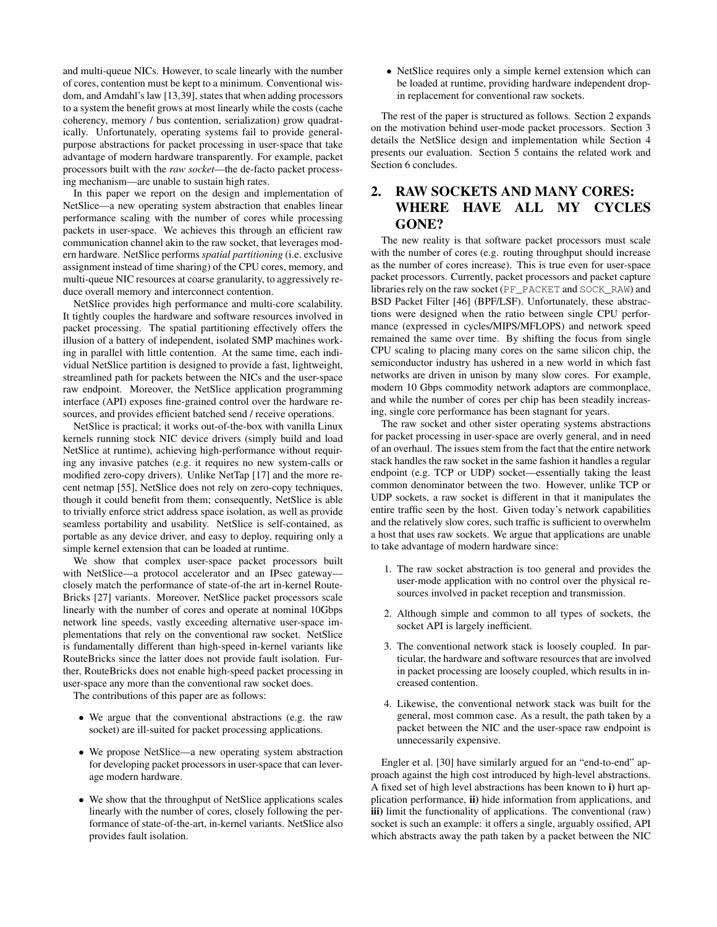and multi-queue NICs. However, to scale linearly with the number of cores, contention must be kept to a minimum. Conventional wisdom, and Amdahl's law [13,39], states that when adding processors to a system the benefit grows at most linearly while the costs (cache coherency, memory / bus contention, serialization) grow quadratically. Unfortunately, operating systems fail to provide generalpurpose abstractions for packet processing in user-space that take advantage of modern hardware transparently. For example, packet processors built with the *raw socket*—the de-facto packet processing mechanism—are unable to sustain high rates.

In this paper we report on the design and implementation of NetSlice—a new operating system abstraction that enables linear performance scaling with the number of cores while processing packets in user-space. We achieves this through an efficient raw communication channel akin to the raw socket, that leverages modern hardware. NetSlice performs *spatial partitioning* (i.e. exclusive assignment instead of time sharing) of the CPU cores, memory, and multi-queue NIC resources at coarse granularity, to aggressively reduce overall memory and interconnect contention.

NetSlice provides high performance and multi-core scalability. It tightly couples the hardware and software resources involved in packet processing. The spatial partitioning effectively offers the illusion of a battery of independent, isolated SMP machines working in parallel with little contention. At the same time, each individual NetSlice partition is designed to provide a fast, lightweight, streamlined path for packets between the NICs and the user-space raw endpoint. Moreover, the NetSlice application programming interface (API) exposes fine-grained control over the hardware resources, and provides efficient batched send / receive operations.

NetSlice is practical; it works out-of-the-box with vanilla Linux kernels running stock NIC device drivers (simply build and load NetSlice at runtime), achieving high-performance without requiring any invasive patches (e.g. it requires no new system-calls or modified zero-copy drivers). Unlike NetTap [17] and the more recent netmap [55], NetSlice does not rely on zero-copy techniques, though it could benefit from them; consequently, NetSlice is able to trivially enforce strict address space isolation, as well as provide seamless portability and usability. NetSlice is self-contained, as portable as any device driver, and easy to deploy, requiring only a simple kernel extension that can be loaded at runtime.

We show that complex user-space packet processors built with NetSlice—a protocol accelerator and an IPsec gateway closely match the performance of state-of-the art in-kernel Route-Bricks [27] variants. Moreover, NetSlice packet processors scale linearly with the number of cores and operate at nominal 10Gbps network line speeds, vastly exceeding alternative user-space implementations that rely on the conventional raw socket. NetSlice is fundamentally different than high-speed in-kernel variants like RouteBricks since the latter does not provide fault isolation. Further, RouteBricks does not enable high-speed packet processing in user-space any more than the conventional raw socket does.

The contributions of this paper are as follows:

- We argue that the conventional abstractions (e.g. the raw socket) are ill-suited for packet processing applications.
- We propose NetSlice—a new operating system abstraction for developing packet processors in user-space that can leverage modern hardware.
- We show that the throughput of NetSlice applications scales linearly with the number of cores, closely following the performance of state-of-the-art, in-kernel variants. NetSlice also provides fault isolation.

• NetSlice requires only a simple kernel extension which can be loaded at runtime, providing hardware independent dropin replacement for conventional raw sockets.

The rest of the paper is structured as follows. Section 2 expands on the motivation behind user-mode packet processors. Section 3 details the NetSlice design and implementation while Section 4 presents our evaluation. Section 5 contains the related work and Section 6 concludes.

# 2. RAW SOCKETS AND MANY CORES: WHERE HAVE ALL MY CYCLES GONE?

The new reality is that software packet processors must scale with the number of cores (e.g. routing throughput should increase as the number of cores increase). This is true even for user-space packet processors. Currently, packet processors and packet capture libraries rely on the raw socket (PF\_PACKET and SOCK\_RAW) and BSD Packet Filter [46] (BPF/LSF). Unfortunately, these abstractions were designed when the ratio between single CPU performance (expressed in cycles/MIPS/MFLOPS) and network speed remained the same over time. By shifting the focus from single CPU scaling to placing many cores on the same silicon chip, the semiconductor industry has ushered in a new world in which fast networks are driven in unison by many slow cores. For example, modern 10 Gbps commodity network adaptors are commonplace, and while the number of cores per chip has been steadily increasing, single core performance has been stagnant for years.

The raw socket and other sister operating systems abstractions for packet processing in user-space are overly general, and in need of an overhaul. The issues stem from the fact that the entire network stack handles the raw socket in the same fashion it handles a regular endpoint (e.g. TCP or UDP) socket—essentially taking the least common denominator between the two. However, unlike TCP or UDP sockets, a raw socket is different in that it manipulates the entire traffic seen by the host. Given today's network capabilities and the relatively slow cores, such traffic is sufficient to overwhelm a host that uses raw sockets. We argue that applications are unable to take advantage of modern hardware since:

- 1. The raw socket abstraction is too general and provides the user-mode application with no control over the physical resources involved in packet reception and transmission.
- 2. Although simple and common to all types of sockets, the socket API is largely inefficient.
- 3. The conventional network stack is loosely coupled. In particular, the hardware and software resources that are involved in packet processing are loosely coupled, which results in increased contention.
- 4. Likewise, the conventional network stack was built for the general, most common case. As a result, the path taken by a packet between the NIC and the user-space raw endpoint is unnecessarily expensive.

Engler et al. [30] have similarly argued for an "end-to-end" approach against the high cost introduced by high-level abstractions. A fixed set of high level abstractions has been known to i) hurt application performance, ii) hide information from applications, and iii) limit the functionality of applications. The conventional (raw) socket is such an example: it offers a single, arguably ossified, API which abstracts away the path taken by a packet between the NIC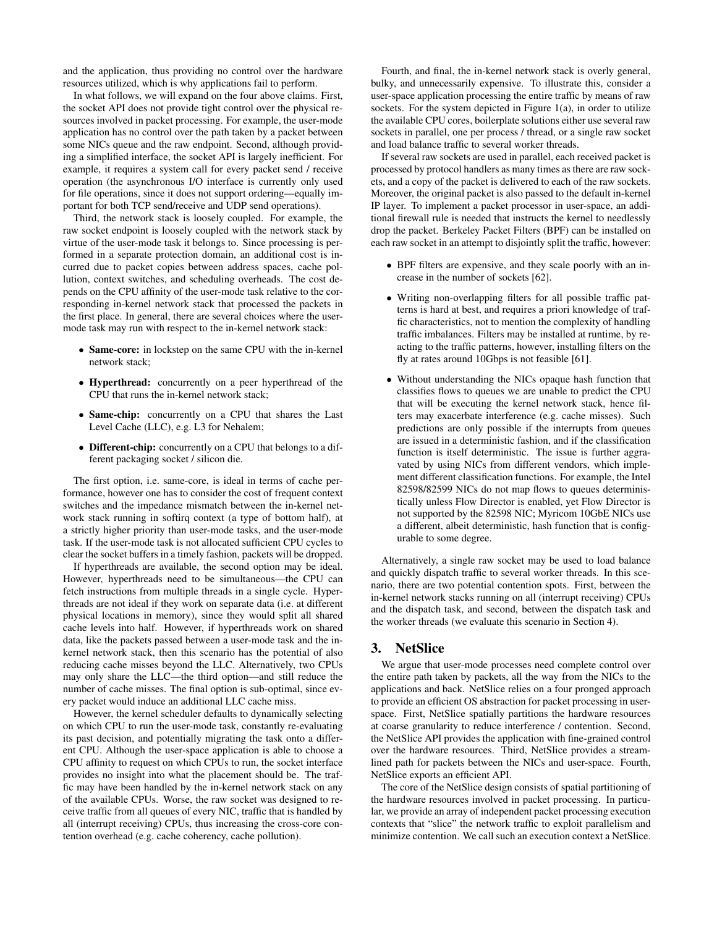and the application, thus providing no control over the hardware resources utilized, which is why applications fail to perform.

In what follows, we will expand on the four above claims. First, the socket API does not provide tight control over the physical resources involved in packet processing. For example, the user-mode application has no control over the path taken by a packet between some NICs queue and the raw endpoint. Second, although providing a simplified interface, the socket API is largely inefficient. For example, it requires a system call for every packet send / receive operation (the asynchronous I/O interface is currently only used for file operations, since it does not support ordering—equally important for both TCP send/receive and UDP send operations).

Third, the network stack is loosely coupled. For example, the raw socket endpoint is loosely coupled with the network stack by virtue of the user-mode task it belongs to. Since processing is performed in a separate protection domain, an additional cost is incurred due to packet copies between address spaces, cache pollution, context switches, and scheduling overheads. The cost depends on the CPU affinity of the user-mode task relative to the corresponding in-kernel network stack that processed the packets in the first place. In general, there are several choices where the usermode task may run with respect to the in-kernel network stack:

- Same-core: in lockstep on the same CPU with the in-kernel network stack;
- Hyperthread: concurrently on a peer hyperthread of the CPU that runs the in-kernel network stack;
- Same-chip: concurrently on a CPU that shares the Last Level Cache (LLC), e.g. L3 for Nehalem;
- **Different-chip:** concurrently on a CPU that belongs to a different packaging socket / silicon die.

The first option, i.e. same-core, is ideal in terms of cache performance, however one has to consider the cost of frequent context switches and the impedance mismatch between the in-kernel network stack running in softirq context (a type of bottom half), at a strictly higher priority than user-mode tasks, and the user-mode task. If the user-mode task is not allocated sufficient CPU cycles to clear the socket buffers in a timely fashion, packets will be dropped.

If hyperthreads are available, the second option may be ideal. However, hyperthreads need to be simultaneous—the CPU can fetch instructions from multiple threads in a single cycle. Hyperthreads are not ideal if they work on separate data (i.e. at different physical locations in memory), since they would split all shared cache levels into half. However, if hyperthreads work on shared data, like the packets passed between a user-mode task and the inkernel network stack, then this scenario has the potential of also reducing cache misses beyond the LLC. Alternatively, two CPUs may only share the LLC—the third option—and still reduce the number of cache misses. The final option is sub-optimal, since every packet would induce an additional LLC cache miss.

However, the kernel scheduler defaults to dynamically selecting on which CPU to run the user-mode task, constantly re-evaluating its past decision, and potentially migrating the task onto a different CPU. Although the user-space application is able to choose a CPU affinity to request on which CPUs to run, the socket interface provides no insight into what the placement should be. The traffic may have been handled by the in-kernel network stack on any of the available CPUs. Worse, the raw socket was designed to receive traffic from all queues of every NIC, traffic that is handled by all (interrupt receiving) CPUs, thus increasing the cross-core contention overhead (e.g. cache coherency, cache pollution).

Fourth, and final, the in-kernel network stack is overly general, bulky, and unnecessarily expensive. To illustrate this, consider a user-space application processing the entire traffic by means of raw sockets. For the system depicted in Figure  $1(a)$ , in order to utilize the available CPU cores, boilerplate solutions either use several raw sockets in parallel, one per process / thread, or a single raw socket and load balance traffic to several worker threads.

If several raw sockets are used in parallel, each received packet is processed by protocol handlers as many times as there are raw sockets, and a copy of the packet is delivered to each of the raw sockets. Moreover, the original packet is also passed to the default in-kernel IP layer. To implement a packet processor in user-space, an additional firewall rule is needed that instructs the kernel to needlessly drop the packet. Berkeley Packet Filters (BPF) can be installed on each raw socket in an attempt to disjointly split the traffic, however:

- BPF filters are expensive, and they scale poorly with an increase in the number of sockets [62].
- Writing non-overlapping filters for all possible traffic patterns is hard at best, and requires a priori knowledge of traffic characteristics, not to mention the complexity of handling traffic imbalances. Filters may be installed at runtime, by reacting to the traffic patterns, however, installing filters on the fly at rates around 10Gbps is not feasible [61].
- Without understanding the NICs opaque hash function that classifies flows to queues we are unable to predict the CPU that will be executing the kernel network stack, hence filters may exacerbate interference (e.g. cache misses). Such predictions are only possible if the interrupts from queues are issued in a deterministic fashion, and if the classification function is itself deterministic. The issue is further aggravated by using NICs from different vendors, which implement different classification functions. For example, the Intel 82598/82599 NICs do not map flows to queues deterministically unless Flow Director is enabled, yet Flow Director is not supported by the 82598 NIC; Myricom 10GbE NICs use a different, albeit deterministic, hash function that is configurable to some degree.

Alternatively, a single raw socket may be used to load balance and quickly dispatch traffic to several worker threads. In this scenario, there are two potential contention spots. First, between the in-kernel network stacks running on all (interrupt receiving) CPUs and the dispatch task, and second, between the dispatch task and the worker threads (we evaluate this scenario in Section 4).

#### 3. NetSlice

We argue that user-mode processes need complete control over the entire path taken by packets, all the way from the NICs to the applications and back. NetSlice relies on a four pronged approach to provide an efficient OS abstraction for packet processing in userspace. First, NetSlice spatially partitions the hardware resources at coarse granularity to reduce interference / contention. Second, the NetSlice API provides the application with fine-grained control over the hardware resources. Third, NetSlice provides a streamlined path for packets between the NICs and user-space. Fourth, NetSlice exports an efficient API.

The core of the NetSlice design consists of spatial partitioning of the hardware resources involved in packet processing. In particular, we provide an array of independent packet processing execution contexts that "slice" the network traffic to exploit parallelism and minimize contention. We call such an execution context a NetSlice.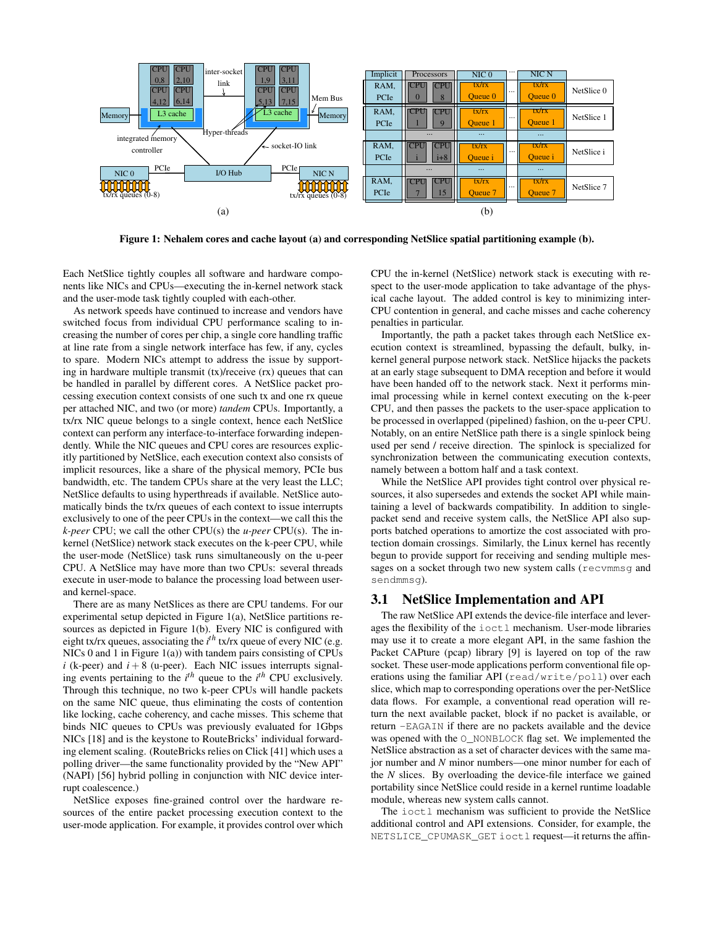

Figure 1: Nehalem cores and cache layout (a) and corresponding NetSlice spatial partitioning example (b).

Each NetSlice tightly couples all software and hardware components like NICs and CPUs—executing the in-kernel network stack and the user-mode task tightly coupled with each-other.

As network speeds have continued to increase and vendors have switched focus from individual CPU performance scaling to increasing the number of cores per chip, a single core handling traffic at line rate from a single network interface has few, if any, cycles to spare. Modern NICs attempt to address the issue by supporting in hardware multiple transmit (tx)/receive (rx) queues that can be handled in parallel by different cores. A NetSlice packet processing execution context consists of one such tx and one rx queue per attached NIC, and two (or more) *tandem* CPUs. Importantly, a tx/rx NIC queue belongs to a single context, hence each NetSlice context can perform any interface-to-interface forwarding independently. While the NIC queues and CPU cores are resources explicitly partitioned by NetSlice, each execution context also consists of implicit resources, like a share of the physical memory, PCIe bus bandwidth, etc. The tandem CPUs share at the very least the LLC; NetSlice defaults to using hyperthreads if available. NetSlice automatically binds the tx/rx queues of each context to issue interrupts exclusively to one of the peer CPUs in the context—we call this the *k-peer* CPU; we call the other CPU(s) the *u-peer* CPU(s). The inkernel (NetSlice) network stack executes on the k-peer CPU, while the user-mode (NetSlice) task runs simultaneously on the u-peer CPU. A NetSlice may have more than two CPUs: several threads execute in user-mode to balance the processing load between userand kernel-space.

There are as many NetSlices as there are CPU tandems. For our experimental setup depicted in Figure 1(a), NetSlice partitions resources as depicted in Figure 1(b). Every NIC is configured with eight tx/rx queues, associating the *i th* tx/rx queue of every NIC (e.g. NICs 0 and 1 in Figure 1(a)) with tandem pairs consisting of CPUs  $i$  (k-peer) and  $i + 8$  (u-peer). Each NIC issues interrupts signaling events pertaining to the *i th* queue to the *i th* CPU exclusively. Through this technique, no two k-peer CPUs will handle packets on the same NIC queue, thus eliminating the costs of contention like locking, cache coherency, and cache misses. This scheme that binds NIC queues to CPUs was previously evaluated for 1Gbps NICs [18] and is the keystone to RouteBricks' individual forwarding element scaling. (RouteBricks relies on Click [41] which uses a polling driver—the same functionality provided by the "New API" (NAPI) [56] hybrid polling in conjunction with NIC device interrupt coalescence.)

NetSlice exposes fine-grained control over the hardware resources of the entire packet processing execution context to the user-mode application. For example, it provides control over which CPU the in-kernel (NetSlice) network stack is executing with respect to the user-mode application to take advantage of the physical cache layout. The added control is key to minimizing inter-CPU contention in general, and cache misses and cache coherency penalties in particular.

Importantly, the path a packet takes through each NetSlice execution context is streamlined, bypassing the default, bulky, inkernel general purpose network stack. NetSlice hijacks the packets at an early stage subsequent to DMA reception and before it would have been handed off to the network stack. Next it performs minimal processing while in kernel context executing on the k-peer CPU, and then passes the packets to the user-space application to be processed in overlapped (pipelined) fashion, on the u-peer CPU. Notably, on an entire NetSlice path there is a single spinlock being used per send / receive direction. The spinlock is specialized for synchronization between the communicating execution contexts, namely between a bottom half and a task context.

While the NetSlice API provides tight control over physical resources, it also supersedes and extends the socket API while maintaining a level of backwards compatibility. In addition to singlepacket send and receive system calls, the NetSlice API also supports batched operations to amortize the cost associated with protection domain crossings. Similarly, the Linux kernel has recently begun to provide support for receiving and sending multiple messages on a socket through two new system calls (recvmmsq and sendmmsg).

#### 3.1 NetSlice Implementation and API

The raw NetSlice API extends the device-file interface and leverages the flexibility of the ioctl mechanism. User-mode libraries may use it to create a more elegant API, in the same fashion the Packet CAPture (pcap) library [9] is layered on top of the raw socket. These user-mode applications perform conventional file operations using the familiar API (read/write/poll) over each slice, which map to corresponding operations over the per-NetSlice data flows. For example, a conventional read operation will return the next available packet, block if no packet is available, or return -EAGAIN if there are no packets available and the device was opened with the O\_NONBLOCK flag set. We implemented the NetSlice abstraction as a set of character devices with the same major number and *N* minor numbers—one minor number for each of the *N* slices. By overloading the device-file interface we gained portability since NetSlice could reside in a kernel runtime loadable module, whereas new system calls cannot.

The ioctl mechanism was sufficient to provide the NetSlice additional control and API extensions. Consider, for example, the NETSLICE\_CPUMASK\_GET ioctl request—it returns the affin-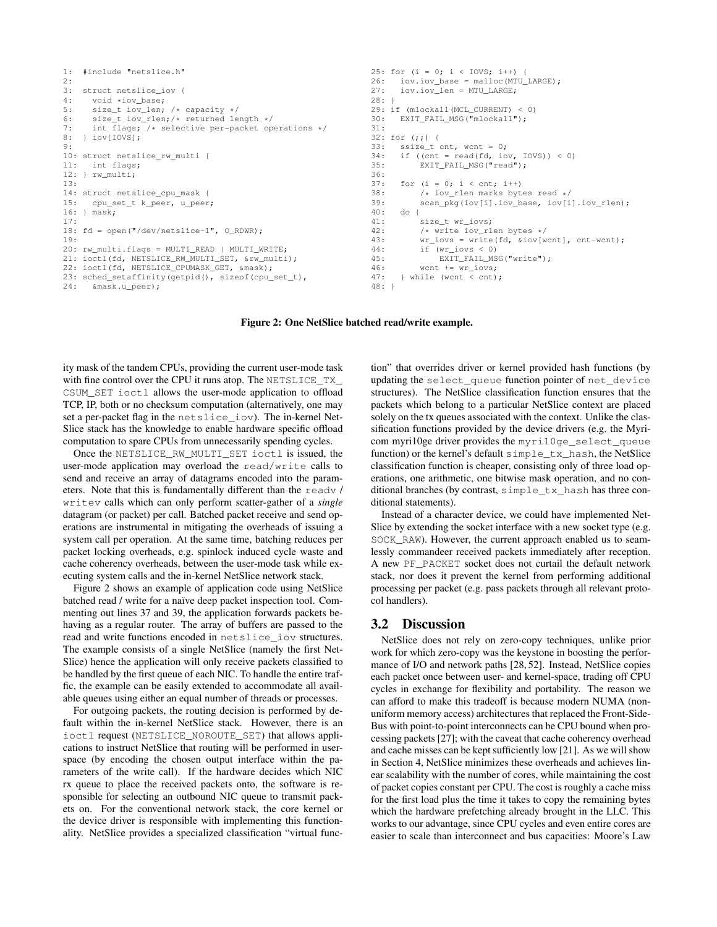```
1: #include "netslice.h"
2:
3: struct netslice_iov {
4: void *iov_base;<br>5: size t iov len:
      size_t iov_len; /* capacity */
6: size_t iov_rlen;/* returned length */<br>7: int flags: /* selective per-packet ope
7: int flags; /* selective per-packet operations */ 8: \frac{1}{2} iov[TOVS]:
   8: } iov[IOVS];
9:
10: struct netslice_rw_multi {
11 \cdot int flags;
12: } rw_multi;
13:
14: struct netslice_cpu_mask {
15: cpu_set_t k_peer, u_peer;
16 \cdot 1 mask;
17:
18: fd = open("/dev/netslice-1", O_RDWR);
19:
20: rw_multi.flags = MULTI_READ | MULTI_WRITE;
21: ioctl(fd, NETSLICE_RW_MULTI_SET, &rw_multi);
22: ioctl(fd, NETSLICE_CPUMASK_GET, &mask);
23: sched_setaffinity(getpid(), sizeof(cpu_set_t),
24: &mask.u peer);
```

```
25: for (i = 0; i < IOVS; i++) {
26: iov.iov_base = malloc(MTU_LARGE);<br>?? iov.iov len = MTU LARGE;
       iov.iov_len = MTU_LARGE:
28: }
29: if (mlockall(MCL_CURRENT) < 0)
30: EXIT_FAIL_MSG("mlockall");
31:
32: for (:): {
33: ssize_t cnt, wcnt = 0;
34: if ((cnt = read(fd, iov, IOVS)) < 0)
35: EXIT_FAIL_MSG("read");
36:
37: for (i = 0; i < cont; i++)38: /* iov_rlen marks bytes read */<br>39: scan pkg(iov[il.iov]base.jov[i
             scan_pkg(iov[i].iov_base, iov[i].iov_rlen);
40: do {<br>41:size_t wr_iovs;
42: /* write iov_rlen bytes */<br>43: = write for \frac{1}{2}43: \text{wr\_iovs} = \text{write}(\text{fd, siov}[\text{worth}], \text{cnt-wcnt});<br>44: if (\text{wr} \text{ ions} < 0)if (wr\_iovs < 0)45: EXIT_FAIL_MSG("write");<br>46 \cdot went += wr ioys;
46: wcnt += wr\_iovs;<br>47: } while (wcnt < cnt)
        47: } while (wcnt < cnt);
48: }
```
#### Figure 2: One NetSlice batched read/write example.

ity mask of the tandem CPUs, providing the current user-mode task with fine control over the CPU it runs atop. The NETSLICE\_TX\_ CSUM\_SET ioctl allows the user-mode application to offload TCP, IP, both or no checksum computation (alternatively, one may set a per-packet flag in the netslice\_iov). The in-kernel Net-Slice stack has the knowledge to enable hardware specific offload computation to spare CPUs from unnecessarily spending cycles.

Once the NETSLICE\_RW\_MULTI\_SET ioctl is issued, the user-mode application may overload the read/write calls to send and receive an array of datagrams encoded into the parameters. Note that this is fundamentally different than the readv / writev calls which can only perform scatter-gather of a *single* datagram (or packet) per call. Batched packet receive and send operations are instrumental in mitigating the overheads of issuing a system call per operation. At the same time, batching reduces per packet locking overheads, e.g. spinlock induced cycle waste and cache coherency overheads, between the user-mode task while executing system calls and the in-kernel NetSlice network stack.

Figure 2 shows an example of application code using NetSlice batched read / write for a naïve deep packet inspection tool. Commenting out lines 37 and 39, the application forwards packets behaving as a regular router. The array of buffers are passed to the read and write functions encoded in netslice\_iov structures. The example consists of a single NetSlice (namely the first Net-Slice) hence the application will only receive packets classified to be handled by the first queue of each NIC. To handle the entire traffic, the example can be easily extended to accommodate all available queues using either an equal number of threads or processes.

For outgoing packets, the routing decision is performed by default within the in-kernel NetSlice stack. However, there is an ioctl request (NETSLICE\_NOROUTE\_SET) that allows applications to instruct NetSlice that routing will be performed in userspace (by encoding the chosen output interface within the parameters of the write call). If the hardware decides which NIC rx queue to place the received packets onto, the software is responsible for selecting an outbound NIC queue to transmit packets on. For the conventional network stack, the core kernel or the device driver is responsible with implementing this functionality. NetSlice provides a specialized classification "virtual function" that overrides driver or kernel provided hash functions (by updating the select\_queue function pointer of net\_device structures). The NetSlice classification function ensures that the packets which belong to a particular NetSlice context are placed solely on the tx queues associated with the context. Unlike the classification functions provided by the device drivers (e.g. the Myricom myri10ge driver provides the myri10ge\_select\_queue function) or the kernel's default simple\_tx\_hash, the NetSlice classification function is cheaper, consisting only of three load operations, one arithmetic, one bitwise mask operation, and no conditional branches (by contrast, simple\_tx\_hash has three conditional statements).

Instead of a character device, we could have implemented Net-Slice by extending the socket interface with a new socket type (e.g. SOCK\_RAW). However, the current approach enabled us to seamlessly commandeer received packets immediately after reception. A new PF\_PACKET socket does not curtail the default network stack, nor does it prevent the kernel from performing additional processing per packet (e.g. pass packets through all relevant protocol handlers).

#### 3.2 Discussion

NetSlice does not rely on zero-copy techniques, unlike prior work for which zero-copy was the keystone in boosting the performance of I/O and network paths [28, 52]. Instead, NetSlice copies each packet once between user- and kernel-space, trading off CPU cycles in exchange for flexibility and portability. The reason we can afford to make this tradeoff is because modern NUMA (nonuniform memory access) architectures that replaced the Front-Side-Bus with point-to-point interconnects can be CPU bound when processing packets [27]; with the caveat that cache coherency overhead and cache misses can be kept sufficiently low [21]. As we will show in Section 4, NetSlice minimizes these overheads and achieves linear scalability with the number of cores, while maintaining the cost of packet copies constant per CPU. The cost is roughly a cache miss for the first load plus the time it takes to copy the remaining bytes which the hardware prefetching already brought in the LLC. This works to our advantage, since CPU cycles and even entire cores are easier to scale than interconnect and bus capacities: Moore's Law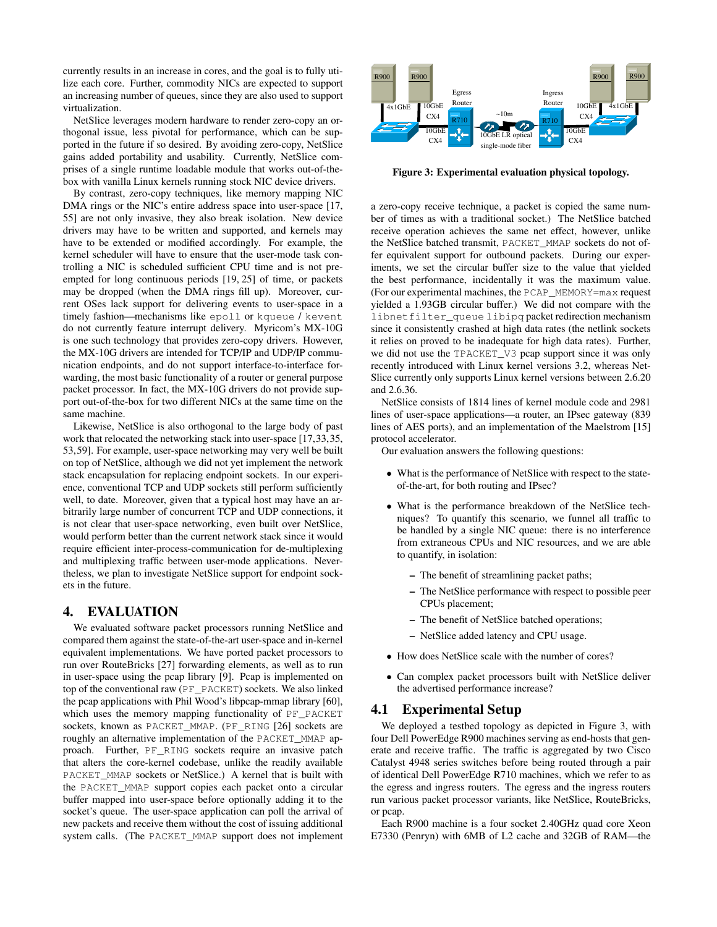currently results in an increase in cores, and the goal is to fully utilize each core. Further, commodity NICs are expected to support an increasing number of queues, since they are also used to support virtualization.

NetSlice leverages modern hardware to render zero-copy an orthogonal issue, less pivotal for performance, which can be supported in the future if so desired. By avoiding zero-copy, NetSlice gains added portability and usability. Currently, NetSlice comprises of a single runtime loadable module that works out-of-thebox with vanilla Linux kernels running stock NIC device drivers.

By contrast, zero-copy techniques, like memory mapping NIC DMA rings or the NIC's entire address space into user-space [17, 55] are not only invasive, they also break isolation. New device drivers may have to be written and supported, and kernels may have to be extended or modified accordingly. For example, the kernel scheduler will have to ensure that the user-mode task controlling a NIC is scheduled sufficient CPU time and is not preempted for long continuous periods [19, 25] of time, or packets may be dropped (when the DMA rings fill up). Moreover, current OSes lack support for delivering events to user-space in a timely fashion—mechanisms like epoll or kqueue / kevent do not currently feature interrupt delivery. Myricom's MX-10G is one such technology that provides zero-copy drivers. However, the MX-10G drivers are intended for TCP/IP and UDP/IP communication endpoints, and do not support interface-to-interface forwarding, the most basic functionality of a router or general purpose packet processor. In fact, the MX-10G drivers do not provide support out-of-the-box for two different NICs at the same time on the same machine.

Likewise, NetSlice is also orthogonal to the large body of past work that relocated the networking stack into user-space [17,33,35, 53,59]. For example, user-space networking may very well be built on top of NetSlice, although we did not yet implement the network stack encapsulation for replacing endpoint sockets. In our experience, conventional TCP and UDP sockets still perform sufficiently well, to date. Moreover, given that a typical host may have an arbitrarily large number of concurrent TCP and UDP connections, it is not clear that user-space networking, even built over NetSlice, would perform better than the current network stack since it would require efficient inter-process-communication for de-multiplexing and multiplexing traffic between user-mode applications. Nevertheless, we plan to investigate NetSlice support for endpoint sockets in the future.

#### 4. EVALUATION

We evaluated software packet processors running NetSlice and compared them against the state-of-the-art user-space and in-kernel equivalent implementations. We have ported packet processors to run over RouteBricks [27] forwarding elements, as well as to run in user-space using the pcap library [9]. Pcap is implemented on top of the conventional raw (PF\_PACKET) sockets. We also linked the pcap applications with Phil Wood's libpcap-mmap library [60], which uses the memory mapping functionality of PF\_PACKET sockets, known as PACKET\_MMAP. (PF\_RING [26] sockets are roughly an alternative implementation of the PACKET\_MMAP approach. Further, PF\_RING sockets require an invasive patch that alters the core-kernel codebase, unlike the readily available PACKET\_MMAP sockets or NetSlice.) A kernel that is built with the PACKET\_MMAP support copies each packet onto a circular buffer mapped into user-space before optionally adding it to the socket's queue. The user-space application can poll the arrival of new packets and receive them without the cost of issuing additional system calls. (The PACKET\_MMAP support does not implement



Figure 3: Experimental evaluation physical topology.

a zero-copy receive technique, a packet is copied the same number of times as with a traditional socket.) The NetSlice batched receive operation achieves the same net effect, however, unlike the NetSlice batched transmit, PACKET\_MMAP sockets do not offer equivalent support for outbound packets. During our experiments, we set the circular buffer size to the value that yielded the best performance, incidentally it was the maximum value. (For our experimental machines, the PCAP\_MEMORY=max request yielded a 1.93GB circular buffer.) We did not compare with the libnetfilter\_queue libipq packet redirection mechanism since it consistently crashed at high data rates (the netlink sockets it relies on proved to be inadequate for high data rates). Further, we did not use the TPACKET\_V3 pcap support since it was only recently introduced with Linux kernel versions 3.2, whereas Net-Slice currently only supports Linux kernel versions between 2.6.20 and 2.6.36.

NetSlice consists of 1814 lines of kernel module code and 2981 lines of user-space applications—a router, an IPsec gateway (839 lines of AES ports), and an implementation of the Maelstrom [15] protocol accelerator.

Our evaluation answers the following questions:

- What is the performance of NetSlice with respect to the stateof-the-art, for both routing and IPsec?
- What is the performance breakdown of the NetSlice techniques? To quantify this scenario, we funnel all traffic to be handled by a single NIC queue: there is no interference from extraneous CPUs and NIC resources, and we are able to quantify, in isolation:
	- The benefit of streamlining packet paths;
	- The NetSlice performance with respect to possible peer CPUs placement;
	- The benefit of NetSlice batched operations;
	- NetSlice added latency and CPU usage.
- How does NetSlice scale with the number of cores?
- Can complex packet processors built with NetSlice deliver the advertised performance increase?

#### 4.1 Experimental Setup

We deployed a testbed topology as depicted in Figure 3, with four Dell PowerEdge R900 machines serving as end-hosts that generate and receive traffic. The traffic is aggregated by two Cisco Catalyst 4948 series switches before being routed through a pair of identical Dell PowerEdge R710 machines, which we refer to as the egress and ingress routers. The egress and the ingress routers run various packet processor variants, like NetSlice, RouteBricks, or pcap.

Each R900 machine is a four socket 2.40GHz quad core Xeon E7330 (Penryn) with 6MB of L2 cache and 32GB of RAM—the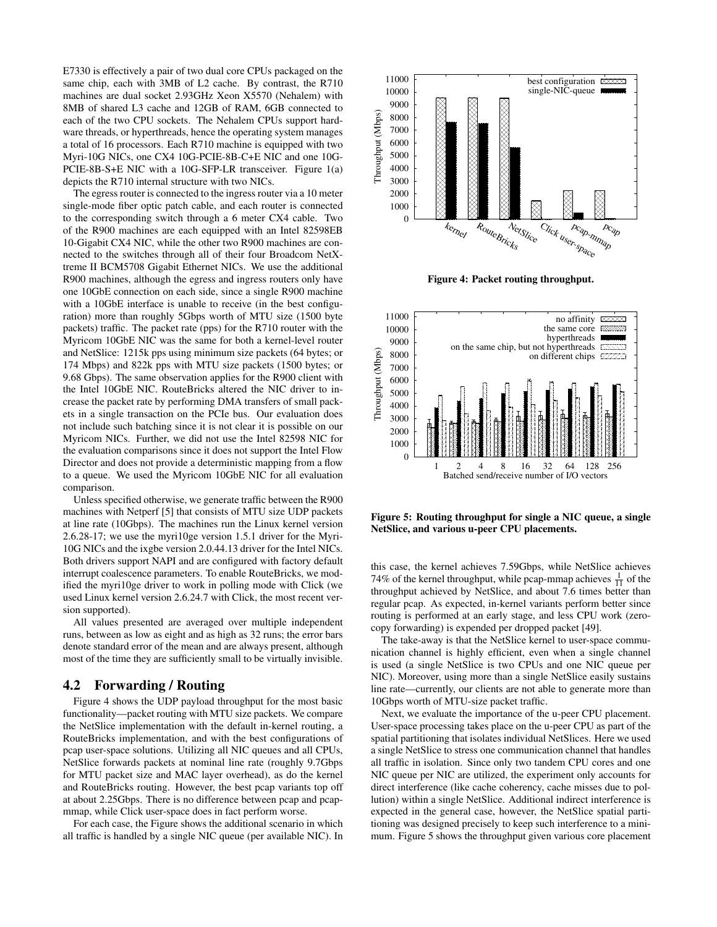E7330 is effectively a pair of two dual core CPUs packaged on the same chip, each with 3MB of L2 cache. By contrast, the R710 machines are dual socket 2.93GHz Xeon X5570 (Nehalem) with 8MB of shared L3 cache and 12GB of RAM, 6GB connected to each of the two CPU sockets. The Nehalem CPUs support hardware threads, or hyperthreads, hence the operating system manages a total of 16 processors. Each R710 machine is equipped with two Myri-10G NICs, one CX4 10G-PCIE-8B-C+E NIC and one 10G-PCIE-8B-S+E NIC with a 10G-SFP-LR transceiver. Figure 1(a) depicts the R710 internal structure with two NICs.

The egress router is connected to the ingress router via a 10 meter single-mode fiber optic patch cable, and each router is connected to the corresponding switch through a 6 meter CX4 cable. Two of the R900 machines are each equipped with an Intel 82598EB 10-Gigabit CX4 NIC, while the other two R900 machines are connected to the switches through all of their four Broadcom NetXtreme II BCM5708 Gigabit Ethernet NICs. We use the additional R900 machines, although the egress and ingress routers only have one 10GbE connection on each side, since a single R900 machine with a 10GbE interface is unable to receive (in the best configuration) more than roughly 5Gbps worth of MTU size (1500 byte packets) traffic. The packet rate (pps) for the R710 router with the Myricom 10GbE NIC was the same for both a kernel-level router and NetSlice: 1215k pps using minimum size packets (64 bytes; or 174 Mbps) and 822k pps with MTU size packets (1500 bytes; or 9.68 Gbps). The same observation applies for the R900 client with the Intel 10GbE NIC. RouteBricks altered the NIC driver to increase the packet rate by performing DMA transfers of small packets in a single transaction on the PCIe bus. Our evaluation does not include such batching since it is not clear it is possible on our Myricom NICs. Further, we did not use the Intel 82598 NIC for the evaluation comparisons since it does not support the Intel Flow Director and does not provide a deterministic mapping from a flow to a queue. We used the Myricom 10GbE NIC for all evaluation comparison.

Unless specified otherwise, we generate traffic between the R900 machines with Netperf [5] that consists of MTU size UDP packets at line rate (10Gbps). The machines run the Linux kernel version 2.6.28-17; we use the myri10ge version 1.5.1 driver for the Myri-10G NICs and the ixgbe version 2.0.44.13 driver for the Intel NICs. Both drivers support NAPI and are configured with factory default interrupt coalescence parameters. To enable RouteBricks, we modified the myri10ge driver to work in polling mode with Click (we used Linux kernel version 2.6.24.7 with Click, the most recent version supported).

All values presented are averaged over multiple independent runs, between as low as eight and as high as 32 runs; the error bars denote standard error of the mean and are always present, although most of the time they are sufficiently small to be virtually invisible.

#### 4.2 Forwarding / Routing

Figure 4 shows the UDP payload throughput for the most basic functionality—packet routing with MTU size packets. We compare the NetSlice implementation with the default in-kernel routing, a RouteBricks implementation, and with the best configurations of pcap user-space solutions. Utilizing all NIC queues and all CPUs, NetSlice forwards packets at nominal line rate (roughly 9.7Gbps for MTU packet size and MAC layer overhead), as do the kernel and RouteBricks routing. However, the best pcap variants top off at about 2.25Gbps. There is no difference between pcap and pcapmmap, while Click user-space does in fact perform worse.

For each case, the Figure shows the additional scenario in which all traffic is handled by a single NIC queue (per available NIC). In



Figure 4: Packet routing throughput.



Figure 5: Routing throughput for single a NIC queue, a single NetSlice, and various u-peer CPU placements.

this case, the kernel achieves 7.59Gbps, while NetSlice achieves 74% of the kernel throughput, while pcap-mmap achieves  $\frac{1}{11}$  of the throughput achieved by NetSlice, and about 7.6 times better than regular pcap. As expected, in-kernel variants perform better since routing is performed at an early stage, and less CPU work (zerocopy forwarding) is expended per dropped packet [49].

The take-away is that the NetSlice kernel to user-space communication channel is highly efficient, even when a single channel is used (a single NetSlice is two CPUs and one NIC queue per NIC). Moreover, using more than a single NetSlice easily sustains line rate—currently, our clients are not able to generate more than 10Gbps worth of MTU-size packet traffic.

Next, we evaluate the importance of the u-peer CPU placement. User-space processing takes place on the u-peer CPU as part of the spatial partitioning that isolates individual NetSlices. Here we used a single NetSlice to stress one communication channel that handles all traffic in isolation. Since only two tandem CPU cores and one NIC queue per NIC are utilized, the experiment only accounts for direct interference (like cache coherency, cache misses due to pollution) within a single NetSlice. Additional indirect interference is expected in the general case, however, the NetSlice spatial partitioning was designed precisely to keep such interference to a minimum. Figure 5 shows the throughput given various core placement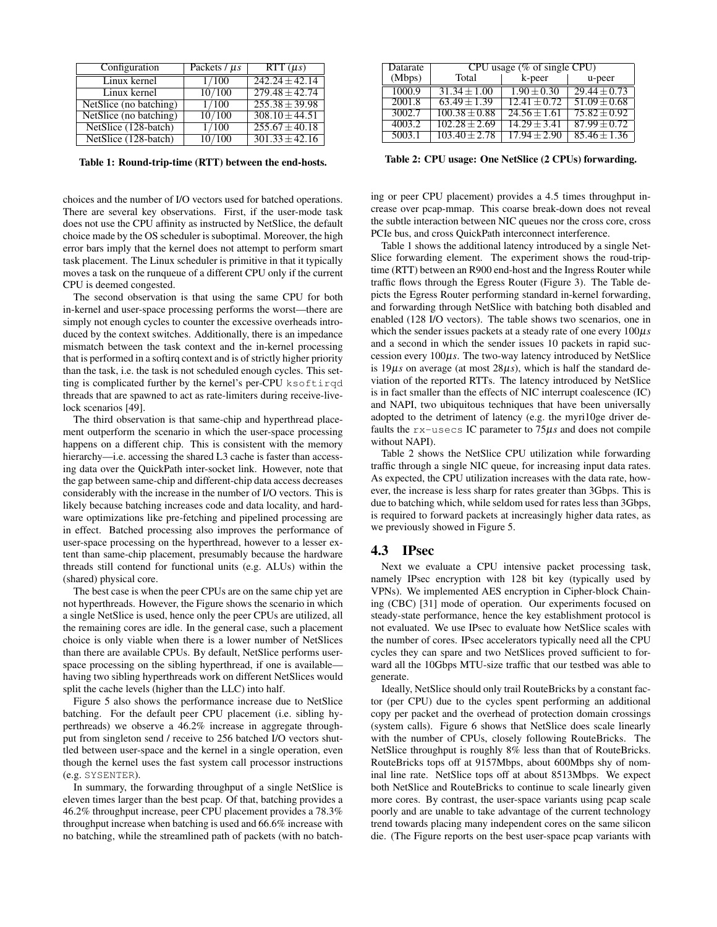| Configuration          | Packets $/\mu s$ | $RTT(\mu s)$       |
|------------------------|------------------|--------------------|
| Linux kernel           | 1/100            | $242.24 \pm 42.14$ |
| Linux kernel           | 10/100           | $279.48 \pm 42.74$ |
| NetSlice (no batching) | 1/100            | $255.38 \pm 39.98$ |
| NetSlice (no batching) | 10/100           | $308.10 \pm 44.51$ |
| NetSlice (128-batch)   | 1/100            | $255.67 \pm 40.18$ |
| NetSlice (128-batch)   | 10/100           | $301.33 \pm 42.16$ |

Table 1: Round-trip-time (RTT) between the end-hosts.

choices and the number of I/O vectors used for batched operations. There are several key observations. First, if the user-mode task does not use the CPU affinity as instructed by NetSlice, the default choice made by the OS scheduler is suboptimal. Moreover, the high error bars imply that the kernel does not attempt to perform smart task placement. The Linux scheduler is primitive in that it typically moves a task on the runqueue of a different CPU only if the current CPU is deemed congested.

The second observation is that using the same CPU for both in-kernel and user-space processing performs the worst—there are simply not enough cycles to counter the excessive overheads introduced by the context switches. Additionally, there is an impedance mismatch between the task context and the in-kernel processing that is performed in a softirq context and is of strictly higher priority than the task, i.e. the task is not scheduled enough cycles. This setting is complicated further by the kernel's per-CPU ksoftirqd threads that are spawned to act as rate-limiters during receive-livelock scenarios [49].

The third observation is that same-chip and hyperthread placement outperform the scenario in which the user-space processing happens on a different chip. This is consistent with the memory hierarchy—i.e. accessing the shared L3 cache is faster than accessing data over the QuickPath inter-socket link. However, note that the gap between same-chip and different-chip data access decreases considerably with the increase in the number of I/O vectors. This is likely because batching increases code and data locality, and hardware optimizations like pre-fetching and pipelined processing are in effect. Batched processing also improves the performance of user-space processing on the hyperthread, however to a lesser extent than same-chip placement, presumably because the hardware threads still contend for functional units (e.g. ALUs) within the (shared) physical core.

The best case is when the peer CPUs are on the same chip yet are not hyperthreads. However, the Figure shows the scenario in which a single NetSlice is used, hence only the peer CPUs are utilized, all the remaining cores are idle. In the general case, such a placement choice is only viable when there is a lower number of NetSlices than there are available CPUs. By default, NetSlice performs userspace processing on the sibling hyperthread, if one is available having two sibling hyperthreads work on different NetSlices would split the cache levels (higher than the LLC) into half.

Figure 5 also shows the performance increase due to NetSlice batching. For the default peer CPU placement (i.e. sibling hyperthreads) we observe a 46.2% increase in aggregate throughput from singleton send / receive to 256 batched I/O vectors shuttled between user-space and the kernel in a single operation, even though the kernel uses the fast system call processor instructions (e.g. SYSENTER).

In summary, the forwarding throughput of a single NetSlice is eleven times larger than the best pcap. Of that, batching provides a 46.2% throughput increase, peer CPU placement provides a 78.3% throughput increase when batching is used and 66.6% increase with no batching, while the streamlined path of packets (with no batch-

| Datarate | CPU usage ( $\%$ of single CPU) |                  |                  |
|----------|---------------------------------|------------------|------------------|
| (Mbps)   | Total                           | k-peer           | u-peer           |
| 1000.9   | $31.34 \pm 1.00$                | $1.90 \pm 0.30$  | $29.44 \pm 0.73$ |
| 2001.8   | $63.49 \pm 1.39$                | $12.41 + 0.72$   | $51.09 \pm 0.68$ |
| 3002.7   | $100.38 \pm 0.88$               | $24.56 \pm 1.61$ | $75.82 \pm 0.92$ |
| 4003.2   | $102.28 + 2.69$                 | $14.29 \pm 3.41$ | $87.99 \pm 0.72$ |
| 5003.1   | $103.40 + 2.78$                 | $17.94 \pm 2.90$ | $85.46 \pm 1.36$ |

Table 2: CPU usage: One NetSlice (2 CPUs) forwarding.

ing or peer CPU placement) provides a 4.5 times throughput increase over pcap-mmap. This coarse break-down does not reveal the subtle interaction between NIC queues nor the cross core, cross PCIe bus, and cross QuickPath interconnect interference.

Table 1 shows the additional latency introduced by a single Net-Slice forwarding element. The experiment shows the roud-triptime (RTT) between an R900 end-host and the Ingress Router while traffic flows through the Egress Router (Figure 3). The Table depicts the Egress Router performing standard in-kernel forwarding, and forwarding through NetSlice with batching both disabled and enabled (128 I/O vectors). The table shows two scenarios, one in which the sender issues packets at a steady rate of one every 100µ*s* and a second in which the sender issues 10 packets in rapid succession every 100µ*s*. The two-way latency introduced by NetSlice is 19 $\mu$ *s* on average (at most 28 $\mu$ *s*), which is half the standard deviation of the reported RTTs. The latency introduced by NetSlice is in fact smaller than the effects of NIC interrupt coalescence (IC) and NAPI, two ubiquitous techniques that have been universally adopted to the detriment of latency (e.g. the myri10ge driver defaults the rx-usecs IC parameter to 75µ*s* and does not compile without NAPI).

Table 2 shows the NetSlice CPU utilization while forwarding traffic through a single NIC queue, for increasing input data rates. As expected, the CPU utilization increases with the data rate, however, the increase is less sharp for rates greater than 3Gbps. This is due to batching which, while seldom used for rates less than 3Gbps, is required to forward packets at increasingly higher data rates, as we previously showed in Figure 5.

#### 4.3 IPsec

Next we evaluate a CPU intensive packet processing task, namely IPsec encryption with 128 bit key (typically used by VPNs). We implemented AES encryption in Cipher-block Chaining (CBC) [31] mode of operation. Our experiments focused on steady-state performance, hence the key establishment protocol is not evaluated. We use IPsec to evaluate how NetSlice scales with the number of cores. IPsec accelerators typically need all the CPU cycles they can spare and two NetSlices proved sufficient to forward all the 10Gbps MTU-size traffic that our testbed was able to generate.

Ideally, NetSlice should only trail RouteBricks by a constant factor (per CPU) due to the cycles spent performing an additional copy per packet and the overhead of protection domain crossings (system calls). Figure 6 shows that NetSlice does scale linearly with the number of CPUs, closely following RouteBricks. The NetSlice throughput is roughly 8% less than that of RouteBricks. RouteBricks tops off at 9157Mbps, about 600Mbps shy of nominal line rate. NetSlice tops off at about 8513Mbps. We expect both NetSlice and RouteBricks to continue to scale linearly given more cores. By contrast, the user-space variants using pcap scale poorly and are unable to take advantage of the current technology trend towards placing many independent cores on the same silicon die. (The Figure reports on the best user-space pcap variants with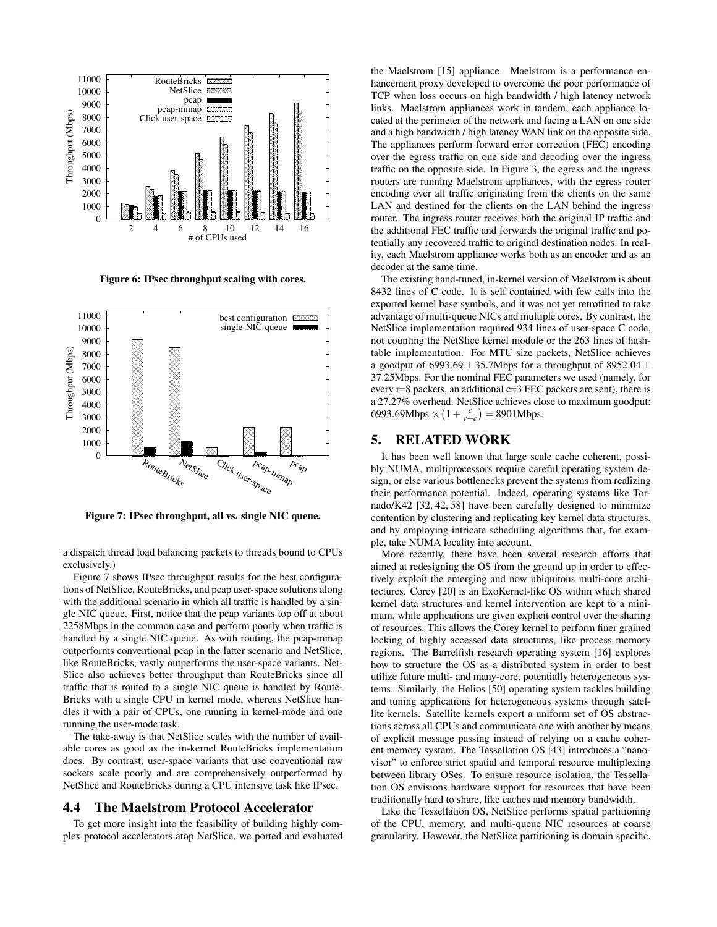

Figure 6: IPsec throughput scaling with cores.



Figure 7: IPsec throughput, all vs. single NIC queue.

a dispatch thread load balancing packets to threads bound to CPUs exclusively.)

Figure 7 shows IPsec throughput results for the best configurations of NetSlice, RouteBricks, and pcap user-space solutions along with the additional scenario in which all traffic is handled by a single NIC queue. First, notice that the pcap variants top off at about 2258Mbps in the common case and perform poorly when traffic is handled by a single NIC queue. As with routing, the pcap-mmap outperforms conventional pcap in the latter scenario and NetSlice, like RouteBricks, vastly outperforms the user-space variants. Net-Slice also achieves better throughput than RouteBricks since all traffic that is routed to a single NIC queue is handled by Route-Bricks with a single CPU in kernel mode, whereas NetSlice handles it with a pair of CPUs, one running in kernel-mode and one running the user-mode task.

The take-away is that NetSlice scales with the number of available cores as good as the in-kernel RouteBricks implementation does. By contrast, user-space variants that use conventional raw sockets scale poorly and are comprehensively outperformed by NetSlice and RouteBricks during a CPU intensive task like IPsec.

#### 4.4 The Maelstrom Protocol Accelerator

To get more insight into the feasibility of building highly complex protocol accelerators atop NetSlice, we ported and evaluated the Maelstrom [15] appliance. Maelstrom is a performance enhancement proxy developed to overcome the poor performance of TCP when loss occurs on high bandwidth / high latency network links. Maelstrom appliances work in tandem, each appliance located at the perimeter of the network and facing a LAN on one side and a high bandwidth / high latency WAN link on the opposite side. The appliances perform forward error correction (FEC) encoding over the egress traffic on one side and decoding over the ingress traffic on the opposite side. In Figure 3, the egress and the ingress routers are running Maelstrom appliances, with the egress router encoding over all traffic originating from the clients on the same LAN and destined for the clients on the LAN behind the ingress router. The ingress router receives both the original IP traffic and the additional FEC traffic and forwards the original traffic and potentially any recovered traffic to original destination nodes. In reality, each Maelstrom appliance works both as an encoder and as an decoder at the same time.

The existing hand-tuned, in-kernel version of Maelstrom is about 8432 lines of C code. It is self contained with few calls into the exported kernel base symbols, and it was not yet retrofitted to take advantage of multi-queue NICs and multiple cores. By contrast, the NetSlice implementation required 934 lines of user-space C code, not counting the NetSlice kernel module or the 263 lines of hashtable implementation. For MTU size packets, NetSlice achieves a goodput of 6993.69  $\pm$  35.7Mbps for a throughput of 8952.04  $\pm$ 37.25Mbps. For the nominal FEC parameters we used (namely, for every  $r=8$  packets, an additional  $c=3$  FEC packets are sent), there is a 27.27% overhead. NetSlice achieves close to maximum goodput: 6993.69Mbps  $\times (1 + \frac{c}{r+c}) = 8901$ Mbps.

# 5. RELATED WORK

It has been well known that large scale cache coherent, possibly NUMA, multiprocessors require careful operating system design, or else various bottlenecks prevent the systems from realizing their performance potential. Indeed, operating systems like Tornado/K42 [32, 42, 58] have been carefully designed to minimize contention by clustering and replicating key kernel data structures, and by employing intricate scheduling algorithms that, for example, take NUMA locality into account.

More recently, there have been several research efforts that aimed at redesigning the OS from the ground up in order to effectively exploit the emerging and now ubiquitous multi-core architectures. Corey [20] is an ExoKernel-like OS within which shared kernel data structures and kernel intervention are kept to a minimum, while applications are given explicit control over the sharing of resources. This allows the Corey kernel to perform finer grained locking of highly accessed data structures, like process memory regions. The Barrelfish research operating system [16] explores how to structure the OS as a distributed system in order to best utilize future multi- and many-core, potentially heterogeneous systems. Similarly, the Helios [50] operating system tackles building and tuning applications for heterogeneous systems through satellite kernels. Satellite kernels export a uniform set of OS abstractions across all CPUs and communicate one with another by means of explicit message passing instead of relying on a cache coherent memory system. The Tessellation OS [43] introduces a "nanovisor" to enforce strict spatial and temporal resource multiplexing between library OSes. To ensure resource isolation, the Tessellation OS envisions hardware support for resources that have been traditionally hard to share, like caches and memory bandwidth.

Like the Tessellation OS, NetSlice performs spatial partitioning of the CPU, memory, and multi-queue NIC resources at coarse granularity. However, the NetSlice partitioning is domain specific,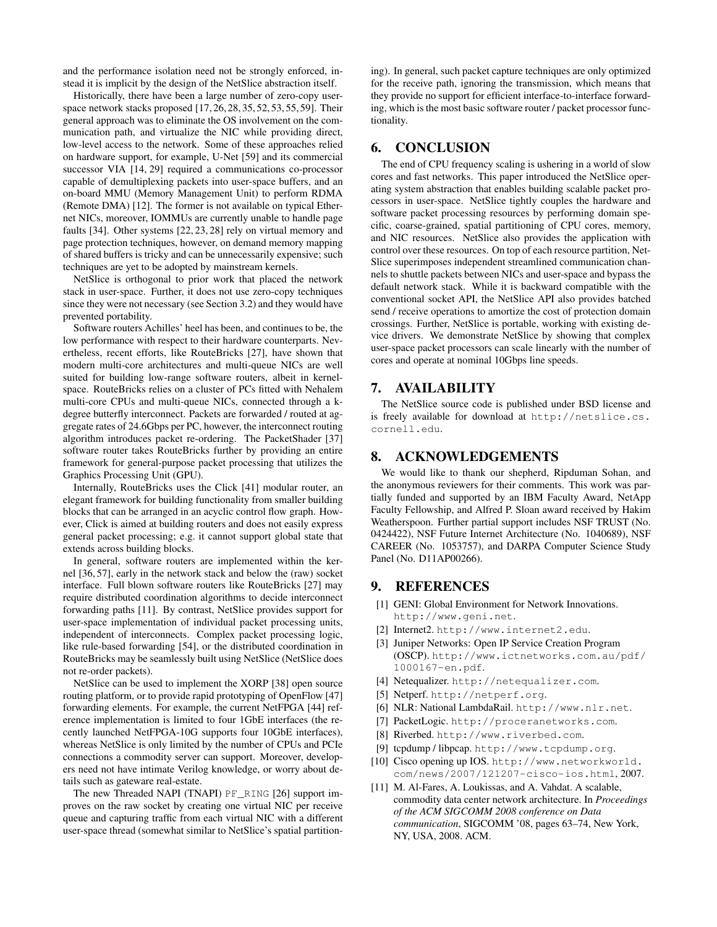and the performance isolation need not be strongly enforced, instead it is implicit by the design of the NetSlice abstraction itself.

Historically, there have been a large number of zero-copy userspace network stacks proposed [17, 26, 28, 35, 52, 53, 55, 59]. Their general approach was to eliminate the OS involvement on the communication path, and virtualize the NIC while providing direct, low-level access to the network. Some of these approaches relied on hardware support, for example, U-Net [59] and its commercial successor VIA [14, 29] required a communications co-processor capable of demultiplexing packets into user-space buffers, and an on-board MMU (Memory Management Unit) to perform RDMA (Remote DMA) [12]. The former is not available on typical Ethernet NICs, moreover, IOMMUs are currently unable to handle page faults [34]. Other systems [22, 23, 28] rely on virtual memory and page protection techniques, however, on demand memory mapping of shared buffers is tricky and can be unnecessarily expensive; such techniques are yet to be adopted by mainstream kernels.

NetSlice is orthogonal to prior work that placed the network stack in user-space. Further, it does not use zero-copy techniques since they were not necessary (see Section 3.2) and they would have prevented portability.

Software routers Achilles' heel has been, and continues to be, the low performance with respect to their hardware counterparts. Nevertheless, recent efforts, like RouteBricks [27], have shown that modern multi-core architectures and multi-queue NICs are well suited for building low-range software routers, albeit in kernelspace. RouteBricks relies on a cluster of PCs fitted with Nehalem multi-core CPUs and multi-queue NICs, connected through a kdegree butterfly interconnect. Packets are forwarded / routed at aggregate rates of 24.6Gbps per PC, however, the interconnect routing algorithm introduces packet re-ordering. The PacketShader [37] software router takes RouteBricks further by providing an entire framework for general-purpose packet processing that utilizes the Graphics Processing Unit (GPU).

Internally, RouteBricks uses the Click [41] modular router, an elegant framework for building functionality from smaller building blocks that can be arranged in an acyclic control flow graph. However, Click is aimed at building routers and does not easily express general packet processing; e.g. it cannot support global state that extends across building blocks.

In general, software routers are implemented within the kernel [36, 57], early in the network stack and below the (raw) socket interface. Full blown software routers like RouteBricks [27] may require distributed coordination algorithms to decide interconnect forwarding paths [11]. By contrast, NetSlice provides support for user-space implementation of individual packet processing units, independent of interconnects. Complex packet processing logic, like rule-based forwarding [54], or the distributed coordination in RouteBricks may be seamlessly built using NetSlice (NetSlice does not re-order packets).

NetSlice can be used to implement the XORP [38] open source routing platform, or to provide rapid prototyping of OpenFlow [47] forwarding elements. For example, the current NetFPGA [44] reference implementation is limited to four 1GbE interfaces (the recently launched NetFPGA-10G supports four 10GbE interfaces), whereas NetSlice is only limited by the number of CPUs and PCIe connections a commodity server can support. Moreover, developers need not have intimate Verilog knowledge, or worry about details such as gateware real-estate.

The new Threaded NAPI (TNAPI) PF\_RING [26] support improves on the raw socket by creating one virtual NIC per receive queue and capturing traffic from each virtual NIC with a different user-space thread (somewhat similar to NetSlice's spatial partitioning). In general, such packet capture techniques are only optimized for the receive path, ignoring the transmission, which means that they provide no support for efficient interface-to-interface forwarding, which is the most basic software router / packet processor functionality.

### 6. CONCLUSION

The end of CPU frequency scaling is ushering in a world of slow cores and fast networks. This paper introduced the NetSlice operating system abstraction that enables building scalable packet processors in user-space. NetSlice tightly couples the hardware and software packet processing resources by performing domain specific, coarse-grained, spatial partitioning of CPU cores, memory, and NIC resources. NetSlice also provides the application with control over these resources. On top of each resource partition, Net-Slice superimposes independent streamlined communication channels to shuttle packets between NICs and user-space and bypass the default network stack. While it is backward compatible with the conventional socket API, the NetSlice API also provides batched send / receive operations to amortize the cost of protection domain crossings. Further, NetSlice is portable, working with existing device drivers. We demonstrate NetSlice by showing that complex user-space packet processors can scale linearly with the number of cores and operate at nominal 10Gbps line speeds.

#### 7. AVAILABILITY

The NetSlice source code is published under BSD license and is freely available for download at http://netslice.cs. cornell.edu.

# 8. ACKNOWLEDGEMENTS

We would like to thank our shepherd, Ripduman Sohan, and the anonymous reviewers for their comments. This work was partially funded and supported by an IBM Faculty Award, NetApp Faculty Fellowship, and Alfred P. Sloan award received by Hakim Weatherspoon. Further partial support includes NSF TRUST (No. 0424422), NSF Future Internet Architecture (No. 1040689), NSF CAREER (No. 1053757), and DARPA Computer Science Study Panel (No. D11AP00266).

#### 9. REFERENCES

- [1] GENI: Global Environment for Network Innovations. http://www.geni.net.
- [2] Internet2. http://www.internet2.edu.
- [3] Juniper Networks: Open IP Service Creation Program (OSCP). http://www.ictnetworks.com.au/pdf/ 1000167-en.pdf.
- [4] Netequalizer. http://netequalizer.com.
- [5] Netperf. http://netperf.org.
- [6] NLR: National LambdaRail. http://www.nlr.net.
- [7] PacketLogic. http://proceranetworks.com.
- [8] Riverbed. http://www.riverbed.com.
- [9] tcpdump / libpcap. http://www.tcpdump.org.
- [10] Cisco opening up IOS. http://www.networkworld. com/news/2007/121207-cisco-ios.html, 2007.
- [11] M. Al-Fares, A. Loukissas, and A. Vahdat. A scalable, commodity data center network architecture. In *Proceedings of the ACM SIGCOMM 2008 conference on Data communication*, SIGCOMM '08, pages 63–74, New York, NY, USA, 2008. ACM.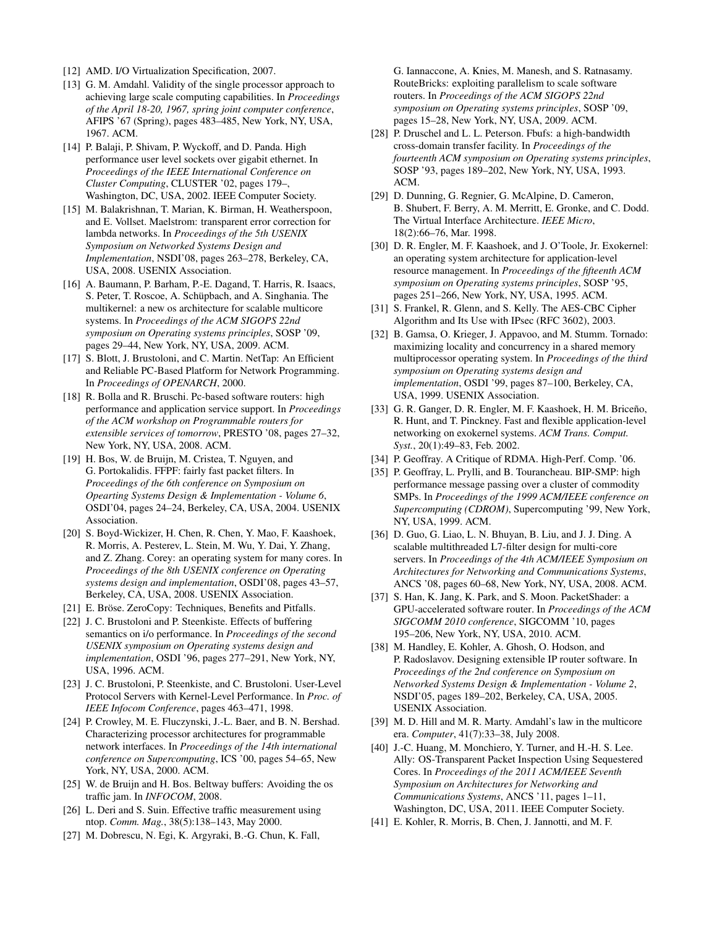- [12] AMD. I/O Virtualization Specification, 2007.
- [13] G. M. Amdahl. Validity of the single processor approach to achieving large scale computing capabilities. In *Proceedings of the April 18-20, 1967, spring joint computer conference*, AFIPS '67 (Spring), pages 483–485, New York, NY, USA, 1967. ACM.
- [14] P. Balaji, P. Shivam, P. Wyckoff, and D. Panda. High performance user level sockets over gigabit ethernet. In *Proceedings of the IEEE International Conference on Cluster Computing*, CLUSTER '02, pages 179–, Washington, DC, USA, 2002. IEEE Computer Society.
- [15] M. Balakrishnan, T. Marian, K. Birman, H. Weatherspoon, and E. Vollset. Maelstrom: transparent error correction for lambda networks. In *Proceedings of the 5th USENIX Symposium on Networked Systems Design and Implementation*, NSDI'08, pages 263–278, Berkeley, CA, USA, 2008. USENIX Association.
- [16] A. Baumann, P. Barham, P.-E. Dagand, T. Harris, R. Isaacs, S. Peter, T. Roscoe, A. Schüpbach, and A. Singhania. The multikernel: a new os architecture for scalable multicore systems. In *Proceedings of the ACM SIGOPS 22nd symposium on Operating systems principles*, SOSP '09, pages 29–44, New York, NY, USA, 2009. ACM.
- [17] S. Blott, J. Brustoloni, and C. Martin. NetTap: An Efficient and Reliable PC-Based Platform for Network Programming. In *Proceedings of OPENARCH*, 2000.
- [18] R. Bolla and R. Bruschi. Pc-based software routers: high performance and application service support. In *Proceedings of the ACM workshop on Programmable routers for extensible services of tomorrow*, PRESTO '08, pages 27–32, New York, NY, USA, 2008. ACM.
- [19] H. Bos, W. de Bruijn, M. Cristea, T. Nguyen, and G. Portokalidis. FFPF: fairly fast packet filters. In *Proceedings of the 6th conference on Symposium on Opearting Systems Design & Implementation - Volume 6*, OSDI'04, pages 24–24, Berkeley, CA, USA, 2004. USENIX Association.
- [20] S. Boyd-Wickizer, H. Chen, R. Chen, Y. Mao, F. Kaashoek, R. Morris, A. Pesterev, L. Stein, M. Wu, Y. Dai, Y. Zhang, and Z. Zhang. Corey: an operating system for many cores. In *Proceedings of the 8th USENIX conference on Operating systems design and implementation*, OSDI'08, pages 43–57, Berkeley, CA, USA, 2008. USENIX Association.
- [21] E. Bröse. ZeroCopy: Techniques, Benefits and Pitfalls.
- [22] J. C. Brustoloni and P. Steenkiste. Effects of buffering semantics on i/o performance. In *Proceedings of the second USENIX symposium on Operating systems design and implementation*, OSDI '96, pages 277–291, New York, NY, USA, 1996. ACM.
- [23] J. C. Brustoloni, P. Steenkiste, and C. Brustoloni. User-Level Protocol Servers with Kernel-Level Performance. In *Proc. of IEEE Infocom Conference*, pages 463–471, 1998.
- [24] P. Crowley, M. E. Fluczynski, J.-L. Baer, and B. N. Bershad. Characterizing processor architectures for programmable network interfaces. In *Proceedings of the 14th international conference on Supercomputing*, ICS '00, pages 54–65, New York, NY, USA, 2000. ACM.
- [25] W. de Bruijn and H. Bos. Beltway buffers: Avoiding the os traffic jam. In *INFOCOM*, 2008.
- [26] L. Deri and S. Suin. Effective traffic measurement using ntop. *Comm. Mag.*, 38(5):138–143, May 2000.
- [27] M. Dobrescu, N. Egi, K. Argyraki, B.-G. Chun, K. Fall,

G. Iannaccone, A. Knies, M. Manesh, and S. Ratnasamy. RouteBricks: exploiting parallelism to scale software routers. In *Proceedings of the ACM SIGOPS 22nd symposium on Operating systems principles*, SOSP '09, pages 15–28, New York, NY, USA, 2009. ACM.

- [28] P. Druschel and L. L. Peterson. Fbufs: a high-bandwidth cross-domain transfer facility. In *Proceedings of the fourteenth ACM symposium on Operating systems principles*, SOSP '93, pages 189–202, New York, NY, USA, 1993. ACM.
- [29] D. Dunning, G. Regnier, G. McAlpine, D. Cameron, B. Shubert, F. Berry, A. M. Merritt, E. Gronke, and C. Dodd. The Virtual Interface Architecture. *IEEE Micro*, 18(2):66–76, Mar. 1998.
- [30] D. R. Engler, M. F. Kaashoek, and J. O'Toole, Jr. Exokernel: an operating system architecture for application-level resource management. In *Proceedings of the fifteenth ACM symposium on Operating systems principles*, SOSP '95, pages 251–266, New York, NY, USA, 1995. ACM.
- [31] S. Frankel, R. Glenn, and S. Kelly. The AES-CBC Cipher Algorithm and Its Use with IPsec (RFC 3602), 2003.
- [32] B. Gamsa, O. Krieger, J. Appavoo, and M. Stumm. Tornado: maximizing locality and concurrency in a shared memory multiprocessor operating system. In *Proceedings of the third symposium on Operating systems design and implementation*, OSDI '99, pages 87–100, Berkeley, CA, USA, 1999. USENIX Association.
- [33] G. R. Ganger, D. R. Engler, M. F. Kaashoek, H. M. Briceño, R. Hunt, and T. Pinckney. Fast and flexible application-level networking on exokernel systems. *ACM Trans. Comput. Syst.*, 20(1):49–83, Feb. 2002.
- [34] P. Geoffray. A Critique of RDMA. High-Perf. Comp. '06.
- [35] P. Geoffray, L. Prylli, and B. Tourancheau. BIP-SMP: high performance message passing over a cluster of commodity SMPs. In *Proceedings of the 1999 ACM/IEEE conference on Supercomputing (CDROM)*, Supercomputing '99, New York, NY, USA, 1999. ACM.
- [36] D. Guo, G. Liao, L. N. Bhuyan, B. Liu, and J. J. Ding. A scalable multithreaded L7-filter design for multi-core servers. In *Proceedings of the 4th ACM/IEEE Symposium on Architectures for Networking and Communications Systems*, ANCS '08, pages 60–68, New York, NY, USA, 2008. ACM.
- [37] S. Han, K. Jang, K. Park, and S. Moon. PacketShader: a GPU-accelerated software router. In *Proceedings of the ACM SIGCOMM 2010 conference*, SIGCOMM '10, pages 195–206, New York, NY, USA, 2010. ACM.
- [38] M. Handley, E. Kohler, A. Ghosh, O. Hodson, and P. Radoslavov. Designing extensible IP router software. In *Proceedings of the 2nd conference on Symposium on Networked Systems Design & Implementation - Volume 2*, NSDI'05, pages 189–202, Berkeley, CA, USA, 2005. USENIX Association.
- [39] M. D. Hill and M. R. Marty. Amdahl's law in the multicore era. *Computer*, 41(7):33–38, July 2008.
- [40] J.-C. Huang, M. Monchiero, Y. Turner, and H.-H. S. Lee. Ally: OS-Transparent Packet Inspection Using Sequestered Cores. In *Proceedings of the 2011 ACM/IEEE Seventh Symposium on Architectures for Networking and Communications Systems*, ANCS '11, pages 1–11, Washington, DC, USA, 2011. IEEE Computer Society.
- [41] E. Kohler, R. Morris, B. Chen, J. Jannotti, and M. F.